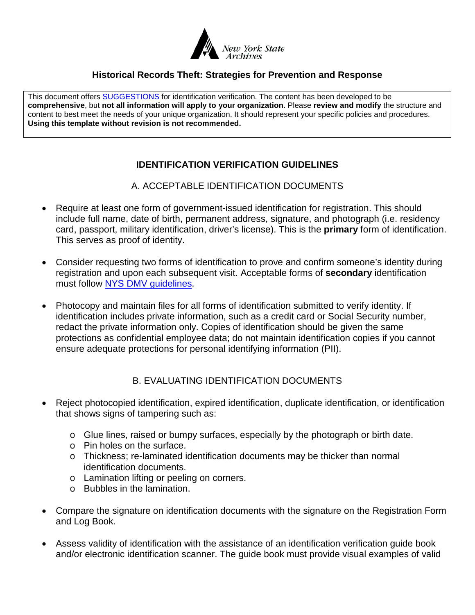

## **Historical Records Theft: Strategies for Prevention and Response**

This document offers SUGGESTIONS for identification verification. The content has been developed to be **comprehensive**, but **not all information will apply to your organization**. Please **review and modify** the structure and content to best meet the needs of your unique organization. It should represent your specific policies and procedures. **Using this template without revision is not recommended.**

## **IDENTIFICATION VERIFICATION GUIDELINES**

A. ACCEPTABLE IDENTIFICATION DOCUMENTS

- Require at least one form of government-issued identification for registration. This should include full name, date of birth, permanent address, signature, and photograph (i.e. residency card, passport, military identification, driver's license). This is the **primary** form of identification. This serves as proof of identity.
- Consider requesting two forms of identification to prove and confirm someone's identity during registration and upon each subsequent visit. Acceptable forms of **secondary** identification must follow [NYS DMV guidelines.](http://www.dmv.ny.gov/forms/id44.pdf)
- Photocopy and maintain files for all forms of identification submitted to verify identity. If identification includes private information, such as a credit card or Social Security number, redact the private information only. Copies of identification should be given the same protections as confidential employee data; do not maintain identification copies if you cannot ensure adequate protections for personal identifying information (PII).

## B. EVALUATING IDENTIFICATION DOCUMENTS

- Reject photocopied identification, expired identification, duplicate identification, or identification that shows signs of tampering such as:
	- o Glue lines, raised or bumpy surfaces, especially by the photograph or birth date.
	- o Pin holes on the surface.
	- o Thickness; re-laminated identification documents may be thicker than normal identification documents.
	- o Lamination lifting or peeling on corners.
	- o Bubbles in the lamination.
- Compare the signature on identification documents with the signature on the Registration Form and Log Book.
- Assess validity of identification with the assistance of an identification verification guide book and/or electronic identification scanner. The guide book must provide visual examples of valid